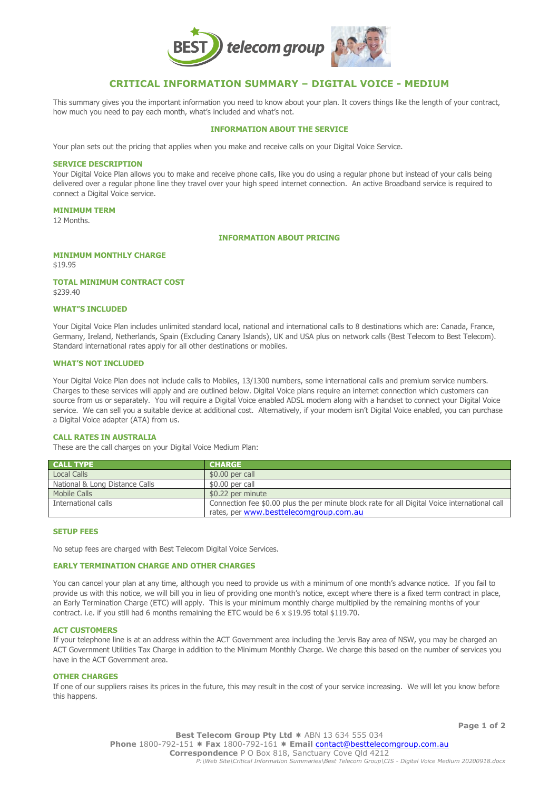

# **CRITICAL INFORMATION SUMMARY – DIGITAL VOICE - MEDIUM**

This summary gives you the important information you need to know about your plan. It covers things like the length of your contract, how much you need to pay each month, what's included and what's not.

## **INFORMATION ABOUT THE SERVICE**

Your plan sets out the pricing that applies when you make and receive calls on your Digital Voice Service.

#### **SERVICE DESCRIPTION**

Your Digital Voice Plan allows you to make and receive phone calls, like you do using a regular phone but instead of your calls being delivered over a regular phone line they travel over your high speed internet connection. An active Broadband service is required to connect a Digital Voice service.

#### **MINIMUM TERM**

12 Months.

#### **INFORMATION ABOUT PRICING**

## **MINIMUM MONTHLY CHARGE**

\$19.95

#### **TOTAL MINIMUM CONTRACT COST** \$239.40

#### **WHAT"S INCLUDED**

Your Digital Voice Plan includes unlimited standard local, national and international calls to 8 destinations which are: Canada, France, Germany, Ireland, Netherlands, Spain (Excluding Canary Islands), UK and USA plus on network calls (Best Telecom to Best Telecom). Standard international rates apply for all other destinations or mobiles.

## **WHAT'S NOT INCLUDED**

Your Digital Voice Plan does not include calls to Mobiles, 13/1300 numbers, some international calls and premium service numbers. Charges to these services will apply and are outlined below. Digital Voice plans require an internet connection which customers can source from us or separately. You will require a Digital Voice enabled ADSL modem along with a handset to connect your Digital Voice service. We can sell you a suitable device at additional cost. Alternatively, if your modem isn't Digital Voice enabled, you can purchase a Digital Voice adapter (ATA) from us.

## **CALL RATES IN AUSTRALIA**

These are the call charges on your Digital Voice Medium Plan:

| <b>CALL TYPE</b>               | <b>CHARGE</b>                                                                                 |
|--------------------------------|-----------------------------------------------------------------------------------------------|
| <b>Local Calls</b>             | \$0.00 per call                                                                               |
| National & Long Distance Calls | \$0.00 per call                                                                               |
| Mobile Calls                   | \$0.22 per minute                                                                             |
| International calls            | Connection fee \$0.00 plus the per minute block rate for all Digital Voice international call |
|                                | rates, per www.besttelecomgroup.com.au                                                        |

### **SETUP FEES**

No setup fees are charged with Best Telecom Digital Voice Services.

# **EARLY TERMINATION CHARGE AND OTHER CHARGES**

You can cancel your plan at any time, although you need to provide us with a minimum of one month's advance notice. If you fail to provide us with this notice, we will bill you in lieu of providing one month's notice, except where there is a fixed term contract in place, an Early Termination Charge (ETC) will apply. This is your minimum monthly charge multiplied by the remaining months of your contract. i.e. if you still had 6 months remaining the ETC would be 6 x \$19.95 total \$119.70.

#### **ACT CUSTOMERS**

If your telephone line is at an address within the ACT Government area including the Jervis Bay area of NSW, you may be charged an ACT Government Utilities Tax Charge in addition to the Minimum Monthly Charge. We charge this based on the number of services you have in the ACT Government area.

#### **OTHER CHARGES**

If one of our suppliers raises its prices in the future, this may result in the cost of your service increasing. We will let you know before this happens.